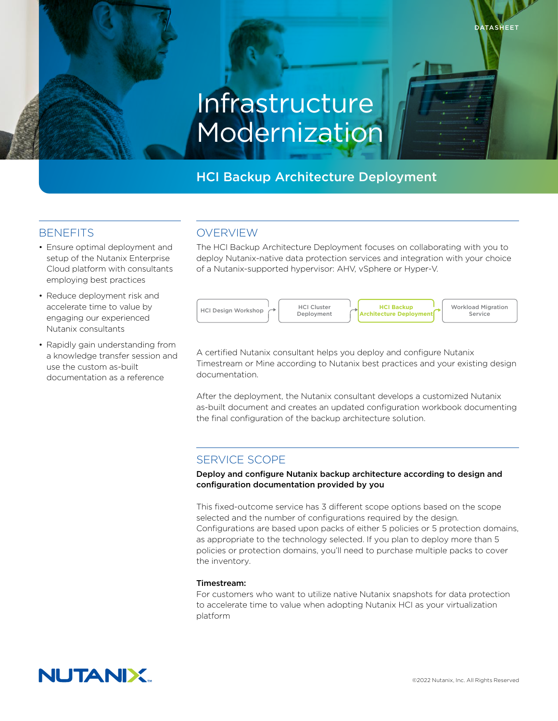# Infrastructure Modernization

# HCI Backup Architecture Deployment

## **BENEFITS**

- Ensure optimal deployment and setup of the Nutanix Enterprise Cloud platform with consultants employing best practices
- Reduce deployment risk and accelerate time to value by engaging our experienced Nutanix consultants
- Rapidly gain understanding from a knowledge transfer session and use the custom as-built documentation as a reference

# OVERVIEW

The HCI Backup Architecture Deployment focuses on collaborating with you to deploy Nutanix-native data protection services and integration with your choice of a Nutanix-supported hypervisor: AHV, vSphere or Hyper-V.



A certified Nutanix consultant helps you deploy and configure Nutanix Timestream or Mine according to Nutanix best practices and your existing design documentation.

After the deployment, the Nutanix consultant develops a customized Nutanix as-built document and creates an updated configuration workbook documenting the final configuration of the backup architecture solution.

## SERVICE SCOPE

Deploy and configure Nutanix backup architecture according to design and configuration documentation provided by you

This fixed-outcome service has 3 different scope options based on the scope selected and the number of configurations required by the design. Configurations are based upon packs of either 5 policies or 5 protection domains, as appropriate to the technology selected. If you plan to deploy more than 5 policies or protection domains, you'll need to purchase multiple packs to cover the inventory.

### Timestream:

For customers who want to utilize native Nutanix snapshots for data protection to accelerate time to value when adopting Nutanix HCI as your virtualization platform



**DATASHEET**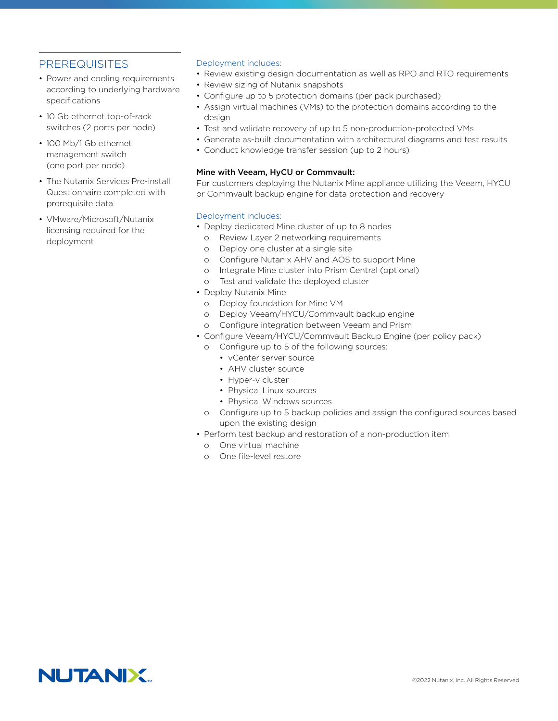## PREREQUISITES

- Power and cooling requirements according to underlying hardware specifications
- 10 Gb ethernet top-of-rack switches (2 ports per node)
- 100 Mb/1 Gb ethernet management switch (one port per node)
- The Nutanix Services Pre-install Questionnaire completed with prerequisite data
- VMware/Microsoft/Nutanix licensing required for the deployment

#### Deployment includes:

- Review existing design documentation as well as RPO and RTO requirements
- Review sizing of Nutanix snapshots
- Configure up to 5 protection domains (per pack purchased)
- Assign virtual machines (VMs) to the protection domains according to the design
- Test and validate recovery of up to 5 non-production-protected VMs
- Generate as-built documentation with architectural diagrams and test results
- Conduct knowledge transfer session (up to 2 hours)

#### Mine with Veeam, HyCU or Commvault:

For customers deploying the Nutanix Mine appliance utilizing the Veeam, HYCU or Commvault backup engine for data protection and recovery

### Deployment includes:

- Deploy dedicated Mine cluster of up to 8 nodes
	- o Review Layer 2 networking requirements
	- o Deploy one cluster at a single site
	- o Configure Nutanix AHV and AOS to support Mine
	- o Integrate Mine cluster into Prism Central (optional)
	- o Test and validate the deployed cluster
- Deploy Nutanix Mine
	- o Deploy foundation for Mine VM
	- o Deploy Veeam/HYCU/Commvault backup engine
	- o Configure integration between Veeam and Prism
- Configure Veeam/HYCU/Commvault Backup Engine (per policy pack)
	- o Configure up to 5 of the following sources:
		- vCenter server source
		- AHV cluster source
		- Hyper-v cluster
		- Physical Linux sources
		- Physical Windows sources
	- o Configure up to 5 backup policies and assign the configured sources based upon the existing design
- Perform test backup and restoration of a non-production item
	- o One virtual machine
	- o One file-level restore